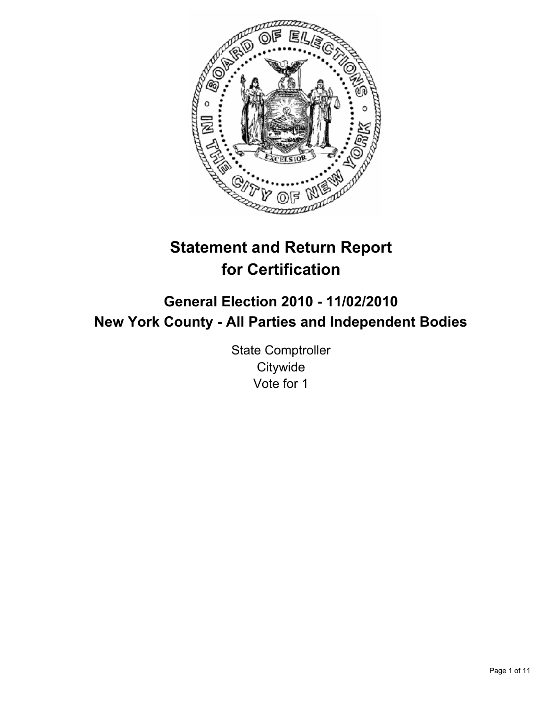

# **Statement and Return Report for Certification**

# **General Election 2010 - 11/02/2010 New York County - All Parties and Independent Bodies**

State Comptroller **Citywide** Vote for 1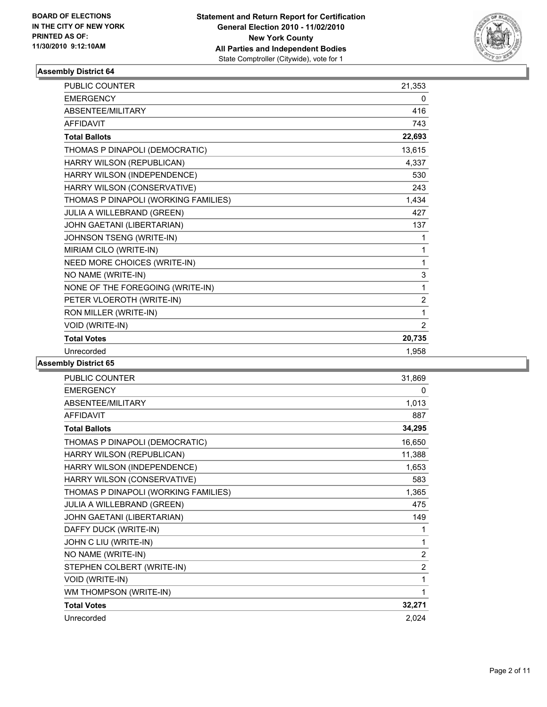

| PUBLIC COUNTER                       | 21,353 |
|--------------------------------------|--------|
| <b>EMERGENCY</b>                     | 0      |
| <b>ABSENTEE/MILITARY</b>             | 416    |
| <b>AFFIDAVIT</b>                     | 743    |
| <b>Total Ballots</b>                 | 22,693 |
| THOMAS P DINAPOLI (DEMOCRATIC)       | 13,615 |
| HARRY WILSON (REPUBLICAN)            | 4,337  |
| HARRY WILSON (INDEPENDENCE)          | 530    |
| HARRY WILSON (CONSERVATIVE)          | 243    |
| THOMAS P DINAPOLI (WORKING FAMILIES) | 1,434  |
| <b>JULIA A WILLEBRAND (GREEN)</b>    | 427    |
| JOHN GAETANI (LIBERTARIAN)           | 137    |
| JOHNSON TSENG (WRITE-IN)             | 1      |
| MIRIAM CILO (WRITE-IN)               | 1      |
| NEED MORE CHOICES (WRITE-IN)         | 1      |
| NO NAME (WRITE-IN)                   | 3      |
| NONE OF THE FOREGOING (WRITE-IN)     | 1      |
| PETER VLOEROTH (WRITE-IN)            | 2      |
| RON MILLER (WRITE-IN)                | 1      |
| <b>VOID (WRITE-IN)</b>               | 2      |
| <b>Total Votes</b>                   | 20,735 |
| Unrecorded                           | 1.958  |

| <b>PUBLIC COUNTER</b>                | 31,869         |
|--------------------------------------|----------------|
| <b>EMERGENCY</b>                     | 0              |
| ABSENTEE/MILITARY                    | 1,013          |
| <b>AFFIDAVIT</b>                     | 887            |
| <b>Total Ballots</b>                 | 34,295         |
| THOMAS P DINAPOLI (DEMOCRATIC)       | 16,650         |
| HARRY WILSON (REPUBLICAN)            | 11,388         |
| HARRY WILSON (INDEPENDENCE)          | 1,653          |
| HARRY WILSON (CONSERVATIVE)          | 583            |
| THOMAS P DINAPOLI (WORKING FAMILIES) | 1,365          |
| <b>JULIA A WILLEBRAND (GREEN)</b>    | 475            |
| JOHN GAETANI (LIBERTARIAN)           | 149            |
| DAFFY DUCK (WRITE-IN)                | 1              |
| JOHN C LIU (WRITE-IN)                | 1              |
| NO NAME (WRITE-IN)                   | $\overline{2}$ |
| STEPHEN COLBERT (WRITE-IN)           | $\overline{2}$ |
| <b>VOID (WRITE-IN)</b>               | 1              |
| WM THOMPSON (WRITE-IN)               | 1              |
| <b>Total Votes</b>                   | 32,271         |
| Unrecorded                           | 2,024          |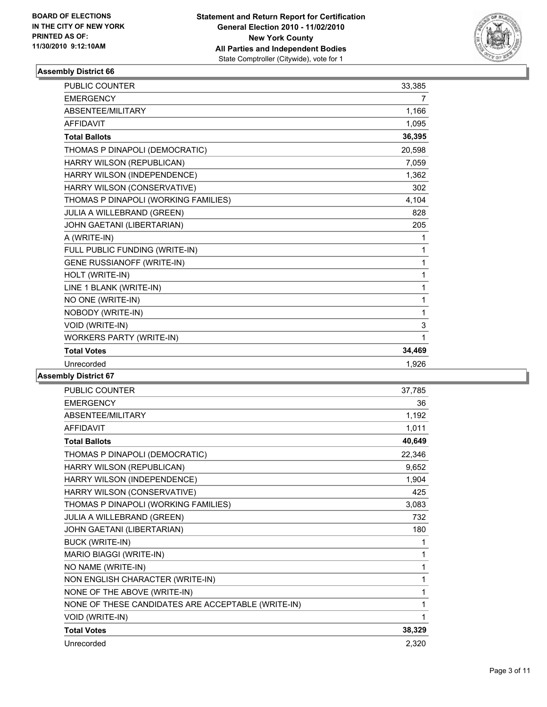

| PUBLIC COUNTER                       | 33,385 |
|--------------------------------------|--------|
| <b>EMERGENCY</b>                     | 7      |
| ABSENTEE/MILITARY                    | 1,166  |
| <b>AFFIDAVIT</b>                     | 1,095  |
| <b>Total Ballots</b>                 | 36,395 |
| THOMAS P DINAPOLI (DEMOCRATIC)       | 20,598 |
| HARRY WILSON (REPUBLICAN)            | 7,059  |
| HARRY WILSON (INDEPENDENCE)          | 1,362  |
| HARRY WILSON (CONSERVATIVE)          | 302    |
| THOMAS P DINAPOLI (WORKING FAMILIES) | 4,104  |
| JULIA A WILLEBRAND (GREEN)           | 828    |
| JOHN GAETANI (LIBERTARIAN)           | 205    |
| A (WRITE-IN)                         | 1      |
| FULL PUBLIC FUNDING (WRITE-IN)       | 1      |
| <b>GENE RUSSIANOFF (WRITE-IN)</b>    | 1      |
| HOLT (WRITE-IN)                      | 1      |
| LINE 1 BLANK (WRITE-IN)              | 1      |
| NO ONE (WRITE-IN)                    | 1      |
| NOBODY (WRITE-IN)                    | 1      |
| VOID (WRITE-IN)                      | 3      |
| <b>WORKERS PARTY (WRITE-IN)</b>      | 1      |
| <b>Total Votes</b>                   | 34,469 |
| Unrecorded                           | 1,926  |

| <b>PUBLIC COUNTER</b>                              | 37,785 |
|----------------------------------------------------|--------|
| <b>EMERGENCY</b>                                   | 36     |
| ABSENTEE/MILITARY                                  | 1,192  |
| <b>AFFIDAVIT</b>                                   | 1,011  |
| <b>Total Ballots</b>                               | 40,649 |
| THOMAS P DINAPOLI (DEMOCRATIC)                     | 22,346 |
| HARRY WILSON (REPUBLICAN)                          | 9,652  |
| HARRY WILSON (INDEPENDENCE)                        | 1,904  |
| HARRY WILSON (CONSERVATIVE)                        | 425    |
| THOMAS P DINAPOLI (WORKING FAMILIES)               | 3,083  |
| JULIA A WILLEBRAND (GREEN)                         | 732    |
| JOHN GAETANI (LIBERTARIAN)                         | 180    |
| <b>BUCK (WRITE-IN)</b>                             | 1      |
| MARIO BIAGGI (WRITE-IN)                            | 1      |
| NO NAME (WRITE-IN)                                 | 1      |
| NON ENGLISH CHARACTER (WRITE-IN)                   | 1      |
| NONE OF THE ABOVE (WRITE-IN)                       | 1      |
| NONE OF THESE CANDIDATES ARE ACCEPTABLE (WRITE-IN) | 1      |
| VOID (WRITE-IN)                                    | 1      |
| <b>Total Votes</b>                                 | 38,329 |
| Unrecorded                                         | 2,320  |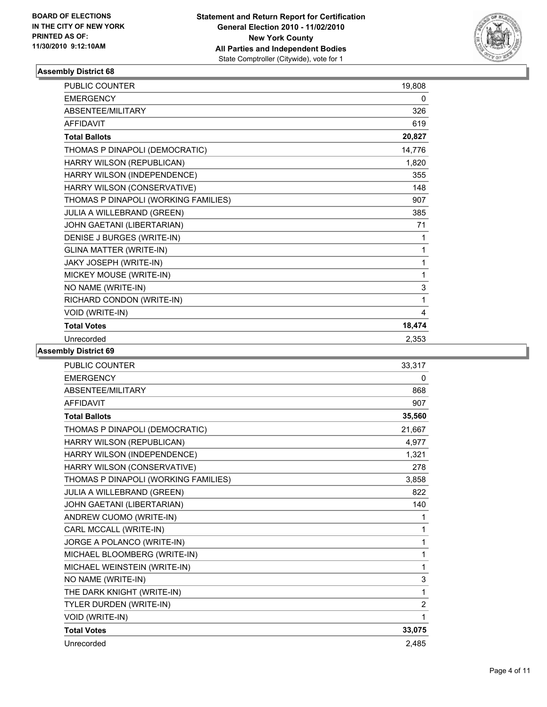

| PUBLIC COUNTER                       | 19,808 |
|--------------------------------------|--------|
| <b>EMERGENCY</b>                     | 0      |
| ABSENTEE/MILITARY                    | 326    |
| <b>AFFIDAVIT</b>                     | 619    |
| <b>Total Ballots</b>                 | 20,827 |
| THOMAS P DINAPOLI (DEMOCRATIC)       | 14,776 |
| HARRY WILSON (REPUBLICAN)            | 1,820  |
| HARRY WILSON (INDEPENDENCE)          | 355    |
| HARRY WILSON (CONSERVATIVE)          | 148    |
| THOMAS P DINAPOLI (WORKING FAMILIES) | 907    |
| JULIA A WILLEBRAND (GREEN)           | 385    |
| JOHN GAETANI (LIBERTARIAN)           | 71     |
| DENISE J BURGES (WRITE-IN)           | 1      |
| <b>GLINA MATTER (WRITE-IN)</b>       | 1      |
| JAKY JOSEPH (WRITE-IN)               | 1      |
| MICKEY MOUSE (WRITE-IN)              | 1      |
| NO NAME (WRITE-IN)                   | 3      |
| RICHARD CONDON (WRITE-IN)            | 1      |
| VOID (WRITE-IN)                      | 4      |
| <b>Total Votes</b>                   | 18,474 |
| Unrecorded                           | 2,353  |

| <b>PUBLIC COUNTER</b>                | 33.317         |
|--------------------------------------|----------------|
| <b>EMERGENCY</b>                     | 0              |
| ABSENTEE/MILITARY                    | 868            |
| <b>AFFIDAVIT</b>                     | 907            |
| <b>Total Ballots</b>                 | 35,560         |
| THOMAS P DINAPOLI (DEMOCRATIC)       | 21,667         |
| HARRY WILSON (REPUBLICAN)            | 4,977          |
| HARRY WILSON (INDEPENDENCE)          | 1,321          |
| HARRY WILSON (CONSERVATIVE)          | 278            |
| THOMAS P DINAPOLI (WORKING FAMILIES) | 3,858          |
| JULIA A WILLEBRAND (GREEN)           | 822            |
| JOHN GAETANI (LIBERTARIAN)           | 140            |
| ANDREW CUOMO (WRITE-IN)              | 1              |
| CARL MCCALL (WRITE-IN)               | 1              |
| JORGE A POLANCO (WRITE-IN)           | 1              |
| MICHAEL BLOOMBERG (WRITE-IN)         | 1              |
| MICHAEL WEINSTEIN (WRITE-IN)         | 1              |
| NO NAME (WRITE-IN)                   | 3              |
| THE DARK KNIGHT (WRITE-IN)           | 1              |
| TYLER DURDEN (WRITE-IN)              | $\overline{2}$ |
| VOID (WRITE-IN)                      | 1              |
| <b>Total Votes</b>                   | 33,075         |
| Unrecorded                           | 2,485          |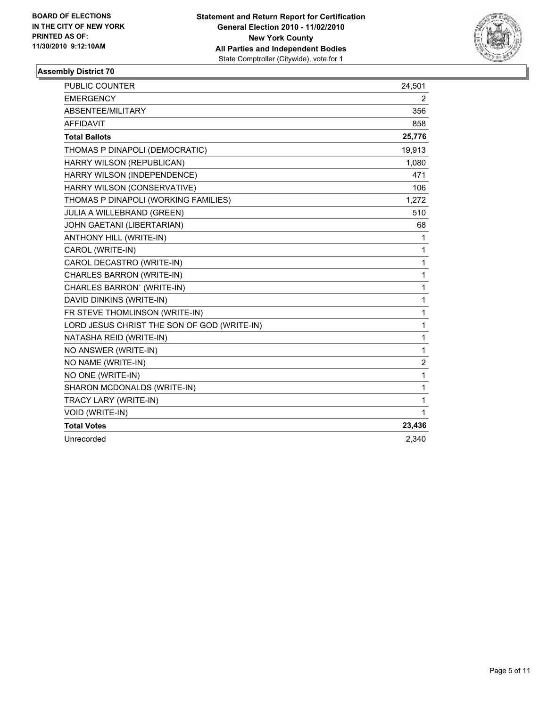

| <b>PUBLIC COUNTER</b>                       | 24,501 |
|---------------------------------------------|--------|
| <b>EMERGENCY</b>                            | 2      |
| ABSENTEE/MILITARY                           | 356    |
| <b>AFFIDAVIT</b>                            | 858    |
| <b>Total Ballots</b>                        | 25,776 |
| THOMAS P DINAPOLI (DEMOCRATIC)              | 19,913 |
| HARRY WILSON (REPUBLICAN)                   | 1,080  |
| HARRY WILSON (INDEPENDENCE)                 | 471    |
| HARRY WILSON (CONSERVATIVE)                 | 106    |
| THOMAS P DINAPOLI (WORKING FAMILIES)        | 1,272  |
| JULIA A WILLEBRAND (GREEN)                  | 510    |
| JOHN GAETANI (LIBERTARIAN)                  | 68     |
| <b>ANTHONY HILL (WRITE-IN)</b>              | 1      |
| CAROL (WRITE-IN)                            | 1      |
| CAROL DECASTRO (WRITE-IN)                   | 1      |
| CHARLES BARRON (WRITE-IN)                   | 1      |
| CHARLES BARRON' (WRITE-IN)                  | 1      |
| DAVID DINKINS (WRITE-IN)                    | 1      |
| FR STEVE THOMLINSON (WRITE-IN)              | 1      |
| LORD JESUS CHRIST THE SON OF GOD (WRITE-IN) | 1      |
| NATASHA REID (WRITE-IN)                     | 1      |
| NO ANSWER (WRITE-IN)                        | 1      |
| NO NAME (WRITE-IN)                          | 2      |
| NO ONE (WRITE-IN)                           | 1      |
| SHARON MCDONALDS (WRITE-IN)                 | 1      |
| TRACY LARY (WRITE-IN)                       | 1      |
| VOID (WRITE-IN)                             | 1      |
| <b>Total Votes</b>                          | 23,436 |
| Unrecorded                                  | 2,340  |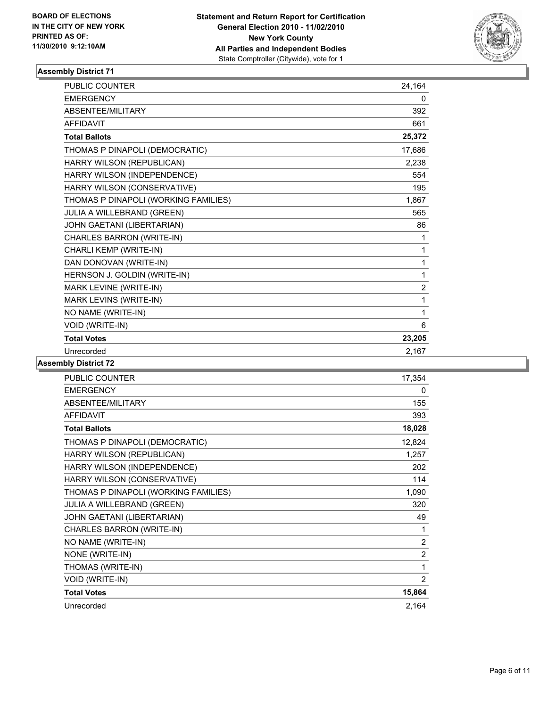

| <b>PUBLIC COUNTER</b>                | 24,164 |
|--------------------------------------|--------|
| <b>EMERGENCY</b>                     | 0      |
| <b>ABSENTEE/MILITARY</b>             | 392    |
| <b>AFFIDAVIT</b>                     | 661    |
| <b>Total Ballots</b>                 | 25,372 |
| THOMAS P DINAPOLI (DEMOCRATIC)       | 17,686 |
| HARRY WILSON (REPUBLICAN)            | 2,238  |
| HARRY WILSON (INDEPENDENCE)          | 554    |
| HARRY WILSON (CONSERVATIVE)          | 195    |
| THOMAS P DINAPOLI (WORKING FAMILIES) | 1,867  |
| JULIA A WILLEBRAND (GREEN)           | 565    |
| JOHN GAETANI (LIBERTARIAN)           | 86     |
| CHARLES BARRON (WRITE-IN)            | 1      |
| CHARLI KEMP (WRITE-IN)               | 1      |
| DAN DONOVAN (WRITE-IN)               | 1      |
| HERNSON J. GOLDIN (WRITE-IN)         | 1      |
| MARK LEVINE (WRITE-IN)               | 2      |
| MARK LEVINS (WRITE-IN)               | 1      |
| NO NAME (WRITE-IN)                   | 1      |
| VOID (WRITE-IN)                      | 6      |
| <b>Total Votes</b>                   | 23,205 |
| Unrecorded                           | 2.167  |

| <b>PUBLIC COUNTER</b>                | 17,354         |
|--------------------------------------|----------------|
| <b>EMERGENCY</b>                     | 0              |
| ABSENTEE/MILITARY                    | 155            |
| <b>AFFIDAVIT</b>                     | 393            |
| <b>Total Ballots</b>                 | 18,028         |
| THOMAS P DINAPOLI (DEMOCRATIC)       | 12,824         |
| HARRY WILSON (REPUBLICAN)            | 1,257          |
| HARRY WILSON (INDEPENDENCE)          | 202            |
| HARRY WILSON (CONSERVATIVE)          | 114            |
| THOMAS P DINAPOLI (WORKING FAMILIES) | 1,090          |
| <b>JULIA A WILLEBRAND (GREEN)</b>    | 320            |
| JOHN GAETANI (LIBERTARIAN)           | 49             |
| CHARLES BARRON (WRITE-IN)            | 1              |
| NO NAME (WRITE-IN)                   | $\overline{c}$ |
| NONE (WRITE-IN)                      | $\overline{2}$ |
| THOMAS (WRITE-IN)                    | 1              |
| <b>VOID (WRITE-IN)</b>               | $\overline{2}$ |
| <b>Total Votes</b>                   | 15,864         |
| Unrecorded                           | 2,164          |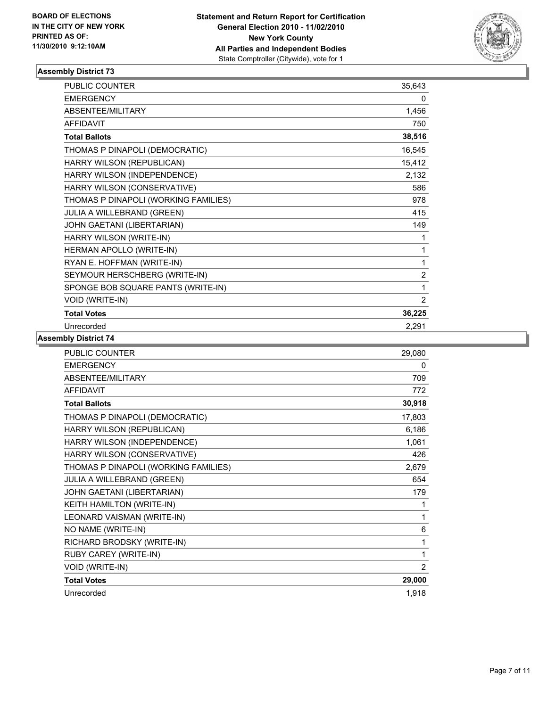

| <b>PUBLIC COUNTER</b>                | 35,643         |
|--------------------------------------|----------------|
| <b>EMERGENCY</b>                     | 0              |
| ABSENTEE/MILITARY                    | 1,456          |
| <b>AFFIDAVIT</b>                     | 750            |
| <b>Total Ballots</b>                 | 38,516         |
| THOMAS P DINAPOLI (DEMOCRATIC)       | 16,545         |
| HARRY WILSON (REPUBLICAN)            | 15,412         |
| HARRY WILSON (INDEPENDENCE)          | 2,132          |
| HARRY WILSON (CONSERVATIVE)          | 586            |
| THOMAS P DINAPOLI (WORKING FAMILIES) | 978            |
| JULIA A WILLEBRAND (GREEN)           | 415            |
| JOHN GAETANI (LIBERTARIAN)           | 149            |
| HARRY WILSON (WRITE-IN)              | 1              |
| HERMAN APOLLO (WRITE-IN)             | 1              |
| RYAN E. HOFFMAN (WRITE-IN)           | 1              |
| SEYMOUR HERSCHBERG (WRITE-IN)        | $\overline{2}$ |
| SPONGE BOB SQUARE PANTS (WRITE-IN)   | 1              |
| VOID (WRITE-IN)                      | 2              |
| <b>Total Votes</b>                   | 36,225         |
| Unrecorded                           | 2.291          |

| <b>PUBLIC COUNTER</b>                | 29,080 |
|--------------------------------------|--------|
| <b>EMERGENCY</b>                     | 0      |
| ABSENTEE/MILITARY                    | 709    |
| <b>AFFIDAVIT</b>                     | 772    |
| <b>Total Ballots</b>                 | 30,918 |
| THOMAS P DINAPOLI (DEMOCRATIC)       | 17,803 |
| HARRY WILSON (REPUBLICAN)            | 6,186  |
| HARRY WILSON (INDEPENDENCE)          | 1,061  |
| HARRY WILSON (CONSERVATIVE)          | 426    |
| THOMAS P DINAPOLI (WORKING FAMILIES) | 2,679  |
| JULIA A WILLEBRAND (GREEN)           | 654    |
| JOHN GAETANI (LIBERTARIAN)           | 179    |
| KEITH HAMILTON (WRITE-IN)            | 1      |
| LEONARD VAISMAN (WRITE-IN)           | 1      |
| NO NAME (WRITE-IN)                   | 6      |
| RICHARD BRODSKY (WRITE-IN)           | 1      |
| RUBY CAREY (WRITE-IN)                | 1      |
| <b>VOID (WRITE-IN)</b>               | 2      |
| <b>Total Votes</b>                   | 29,000 |
| Unrecorded                           | 1.918  |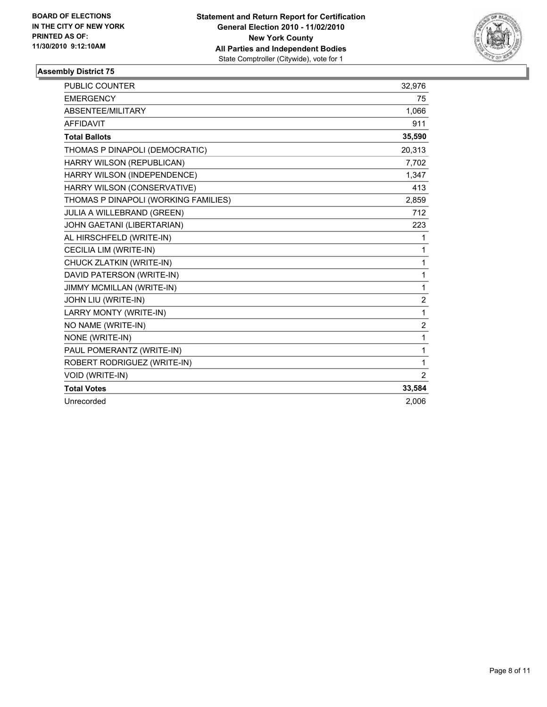

| <b>PUBLIC COUNTER</b>                | 32,976         |
|--------------------------------------|----------------|
| <b>EMERGENCY</b>                     | 75             |
| ABSENTEE/MILITARY                    | 1,066          |
| <b>AFFIDAVIT</b>                     | 911            |
| <b>Total Ballots</b>                 | 35,590         |
| THOMAS P DINAPOLI (DEMOCRATIC)       | 20,313         |
| HARRY WILSON (REPUBLICAN)            | 7,702          |
| HARRY WILSON (INDEPENDENCE)          | 1,347          |
| HARRY WILSON (CONSERVATIVE)          | 413            |
| THOMAS P DINAPOLI (WORKING FAMILIES) | 2,859          |
| <b>JULIA A WILLEBRAND (GREEN)</b>    | 712            |
| JOHN GAETANI (LIBERTARIAN)           | 223            |
| AL HIRSCHFELD (WRITE-IN)             | 1              |
| CECILIA LIM (WRITE-IN)               | $\mathbf{1}$   |
| CHUCK ZLATKIN (WRITE-IN)             | $\mathbf{1}$   |
| DAVID PATERSON (WRITE-IN)            | $\mathbf{1}$   |
| <b>JIMMY MCMILLAN (WRITE-IN)</b>     | 1              |
| JOHN LIU (WRITE-IN)                  | $\overline{c}$ |
| LARRY MONTY (WRITE-IN)               | $\mathbf{1}$   |
| NO NAME (WRITE-IN)                   | $\overline{2}$ |
| NONE (WRITE-IN)                      | $\mathbf{1}$   |
| PAUL POMERANTZ (WRITE-IN)            | $\mathbf{1}$   |
| ROBERT RODRIGUEZ (WRITE-IN)          | $\mathbf{1}$   |
| <b>VOID (WRITE-IN)</b>               | $\overline{2}$ |
| <b>Total Votes</b>                   | 33,584         |
| Unrecorded                           | 2,006          |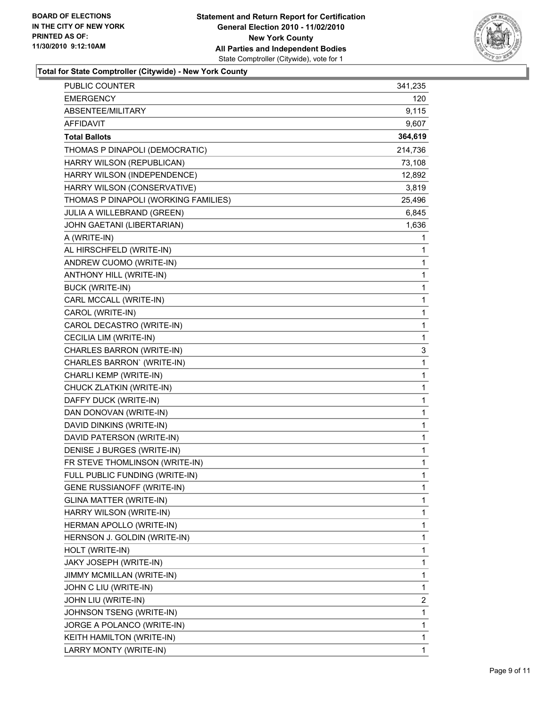

# **Total for State Comptroller (Citywide) - New York County**

| PUBLIC COUNTER                       | 341,235      |
|--------------------------------------|--------------|
| <b>EMERGENCY</b>                     | 120          |
| ABSENTEE/MILITARY                    | 9,115        |
| AFFIDAVIT                            | 9,607        |
| <b>Total Ballots</b>                 | 364,619      |
| THOMAS P DINAPOLI (DEMOCRATIC)       | 214,736      |
| HARRY WILSON (REPUBLICAN)            | 73,108       |
| HARRY WILSON (INDEPENDENCE)          | 12,892       |
| HARRY WILSON (CONSERVATIVE)          | 3,819        |
| THOMAS P DINAPOLI (WORKING FAMILIES) | 25,496       |
| JULIA A WILLEBRAND (GREEN)           | 6,845        |
| JOHN GAETANI (LIBERTARIAN)           | 1,636        |
| A (WRITE-IN)                         | 1            |
| AL HIRSCHFELD (WRITE-IN)             | 1            |
| ANDREW CUOMO (WRITE-IN)              | $\mathbf{1}$ |
| ANTHONY HILL (WRITE-IN)              | 1            |
| <b>BUCK (WRITE-IN)</b>               | 1            |
| CARL MCCALL (WRITE-IN)               | 1            |
| CAROL (WRITE-IN)                     | 1            |
| CAROL DECASTRO (WRITE-IN)            | 1            |
| <b>CECILIA LIM (WRITE-IN)</b>        | 1            |
| CHARLES BARRON (WRITE-IN)            | 3            |
| CHARLES BARRON' (WRITE-IN)           | 1            |
| CHARLI KEMP (WRITE-IN)               | 1            |
| CHUCK ZLATKIN (WRITE-IN)             | 1            |
| DAFFY DUCK (WRITE-IN)                | 1            |
| DAN DONOVAN (WRITE-IN)               | $\mathbf{1}$ |
| DAVID DINKINS (WRITE-IN)             | 1            |
| DAVID PATERSON (WRITE-IN)            | 1            |
| DENISE J BURGES (WRITE-IN)           | $\mathbf{1}$ |
| FR STEVE THOMLINSON (WRITE-IN)       | 1            |
| FULL PUBLIC FUNDING (WRITE-IN)       | 1            |
| <b>GENE RUSSIANOFF (WRITE-IN)</b>    | 1            |
| <b>GLINA MATTER (WRITE-IN)</b>       | 1            |
| HARRY WILSON (WRITE-IN)              | 1            |
| HERMAN APOLLO (WRITE-IN)             | 1            |
| HERNSON J. GOLDIN (WRITE-IN)         | 1            |
| HOLT (WRITE-IN)                      | 1            |
| JAKY JOSEPH (WRITE-IN)               | 1            |
| JIMMY MCMILLAN (WRITE-IN)            | 1            |
| JOHN C LIU (WRITE-IN)                | 1            |
| JOHN LIU (WRITE-IN)                  | 2            |
| JOHNSON TSENG (WRITE-IN)             | 1            |
| JORGE A POLANCO (WRITE-IN)           | 1            |
| KEITH HAMILTON (WRITE-IN)            | 1            |
| LARRY MONTY (WRITE-IN)               | 1            |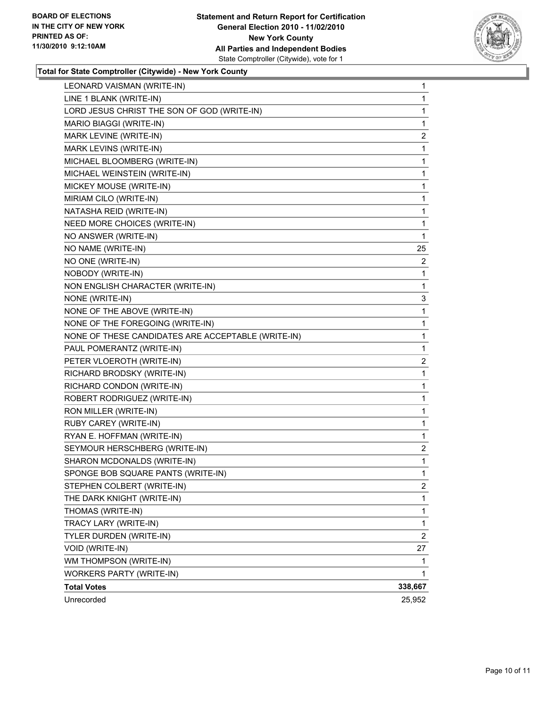

#### **Total for State Comptroller (Citywide) - New York County**

| LEONARD VAISMAN (WRITE-IN)                         | 1              |
|----------------------------------------------------|----------------|
| LINE 1 BLANK (WRITE-IN)                            | 1              |
| LORD JESUS CHRIST THE SON OF GOD (WRITE-IN)        | $\mathbf{1}$   |
| MARIO BIAGGI (WRITE-IN)                            | 1              |
| MARK LEVINE (WRITE-IN)                             | 2              |
| MARK LEVINS (WRITE-IN)                             | 1              |
| MICHAEL BLOOMBERG (WRITE-IN)                       | 1              |
| MICHAEL WEINSTEIN (WRITE-IN)                       | 1              |
| MICKEY MOUSE (WRITE-IN)                            | 1              |
| MIRIAM CILO (WRITE-IN)                             | 1              |
| NATASHA REID (WRITE-IN)                            | 1              |
| NEED MORE CHOICES (WRITE-IN)                       | 1              |
| NO ANSWER (WRITE-IN)                               | 1              |
| NO NAME (WRITE-IN)                                 | 25             |
| NO ONE (WRITE-IN)                                  | 2              |
| NOBODY (WRITE-IN)                                  | 1              |
| NON ENGLISH CHARACTER (WRITE-IN)                   | 1              |
| NONE (WRITE-IN)                                    | 3              |
| NONE OF THE ABOVE (WRITE-IN)                       | 1              |
| NONE OF THE FOREGOING (WRITE-IN)                   | 1              |
| NONE OF THESE CANDIDATES ARE ACCEPTABLE (WRITE-IN) | $\mathbf{1}$   |
| PAUL POMERANTZ (WRITE-IN)                          | 1              |
| PETER VLOEROTH (WRITE-IN)                          | 2              |
| RICHARD BRODSKY (WRITE-IN)                         | 1              |
| RICHARD CONDON (WRITE-IN)                          | 1              |
| ROBERT RODRIGUEZ (WRITE-IN)                        | 1              |
| RON MILLER (WRITE-IN)                              | 1              |
| RUBY CAREY (WRITE-IN)                              | 1              |
| RYAN E. HOFFMAN (WRITE-IN)                         | 1              |
| SEYMOUR HERSCHBERG (WRITE-IN)                      | 2              |
| SHARON MCDONALDS (WRITE-IN)                        | 1              |
| SPONGE BOB SQUARE PANTS (WRITE-IN)                 | 1              |
| STEPHEN COLBERT (WRITE-IN)                         | 2              |
| THE DARK KNIGHT (WRITE-IN)                         | 1              |
| THOMAS (WRITE-IN)                                  | 1              |
| TRACY LARY (WRITE-IN)                              | 1              |
| TYLER DURDEN (WRITE-IN)                            | $\overline{2}$ |
| VOID (WRITE-IN)                                    | 27             |
| WM THOMPSON (WRITE-IN)                             | 1              |
| <b>WORKERS PARTY (WRITE-IN)</b>                    | 1              |
| <b>Total Votes</b>                                 | 338,667        |
| Unrecorded                                         | 25,952         |